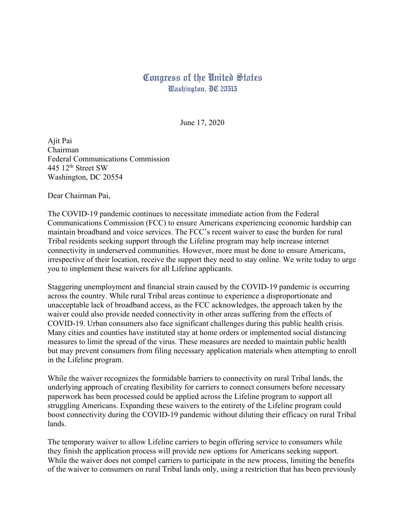## Congress of the United States Washington, DC 20515

June 17, 2020

Ajit Pai Chairman Federal Communications Commission 445 12<sup>th</sup> Street SW Washington, DC 20554

Dear Chairman Pai,

The COVID-19 pandemic continues to necessitate immediate action from the Federal Communications Commission (FCC) to ensure Americans experiencing economic hardship can maintain broadband and voice services. The FCC's recent waiver to ease the burden for rural Tribal residents seeking support through the Lifeline program may help increase internet connectivity in underserved communities. However, more must be done to ensure Americans, irrespective of their location, receive the support they need to stay online. We write today to urge you to implement these waivers for all Lifeline applicants.

Staggering unemployment and financial strain caused by the COVID-19 pandemic is occurring across the country. While rural Tribal areas continue to experience a disproportionate and unacceptable lack of broadband access, as the FCC acknowledges, the approach taken by the waiver could also provide needed connectivity in other areas suffering from the effects of COVID-19. Urban consumers also face significant challenges during this public health crisis. Many cities and counties have instituted stay at home orders or implemented social distancing measures to limit the spread of the virus. These measures are needed to maintain public health but may prevent consumers from filing necessary application materials when attempting to enroll in the Lifeline program.

While the waiver recognizes the formidable barriers to connectivity on rural Tribal lands, the underlying approach of creating flexibility for carriers to connect consumers before necessary paperwork has been processed could be applied across the Lifeline program to support all struggling Americans. Expanding these waivers to the entirety of the Lifeline program could boost connectivity during the COVID-19 pandemic without diluting their efficacy on rural Tribal lands.

The temporary waiver to allow Lifeline carriers to begin offering service to consumers while they finish the application process will provide new options for Americans seeking support. While the waiver does not compel carriers to participate in the new process, limiting the benefits of the waiver to consumers on rural Tribal lands only, using a restriction that has been previously